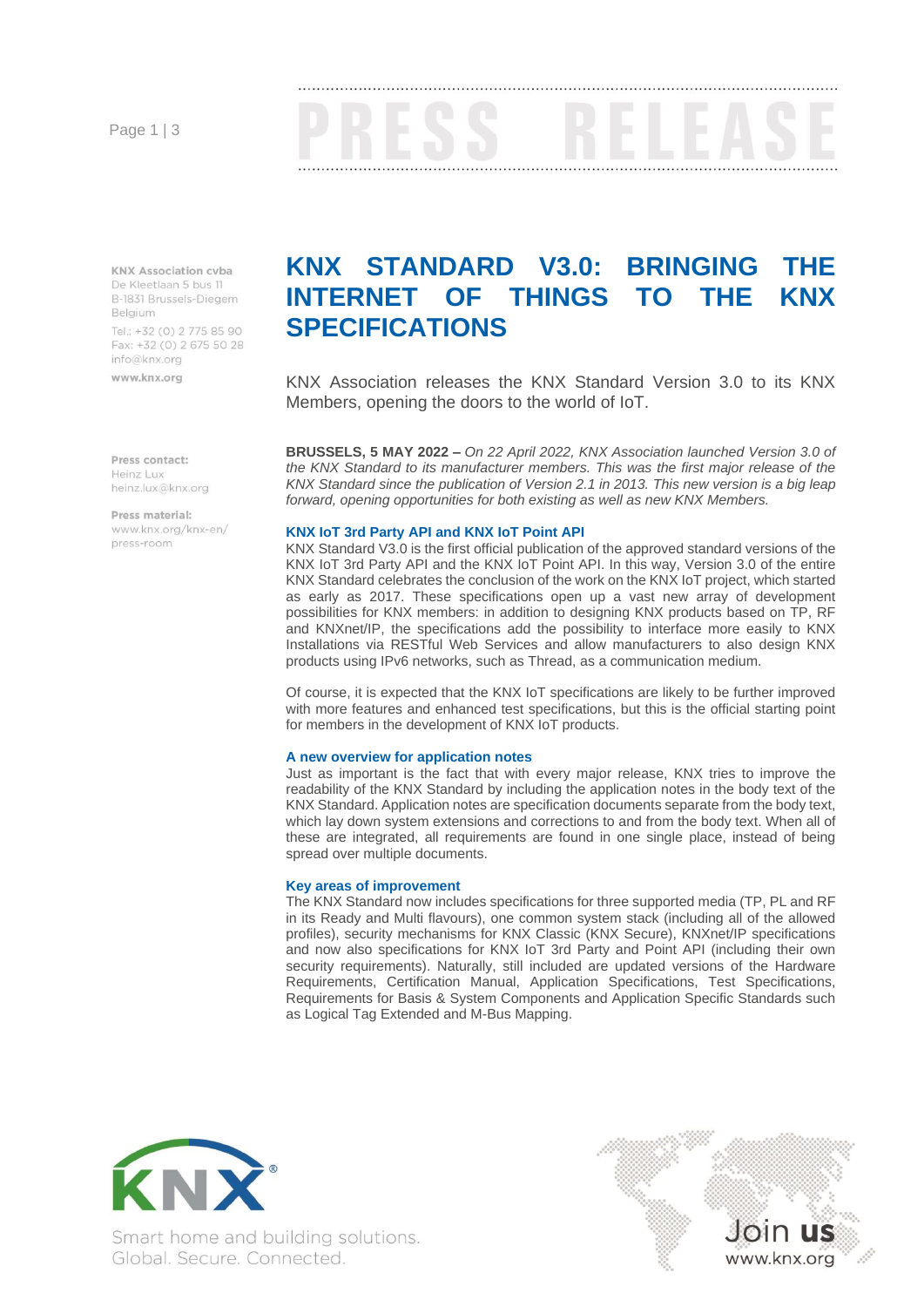Page 1 | 3

**KNX Association cyba** De Kleetlaan 5 bus 11 B-1831 Brussels-Diegem Belaium Tel.: +32 (0) 2 775 85 90

Fax: +32 (0) 2 675 50 28 info@knx.org

www.knx.org

Pross contact: Heinz Lux heinz.lux@knx.org

Press material: www.knx.org/knx-en/ press-room

# **KNX STANDARD V3.0: BRINGING THE INTERNET OF THINGS TO THE SPECIFICATIONS**

KNX Association releases the KNX Standard Version 3.0 to its KNX Members, opening the doors to the world of IoT.

**BRUSSELS, 5 MAY 2022 –** *On 22 April 2022, KNX Association launched Version 3.0 of the KNX Standard to its manufacturer members. This was the first major release of the KNX Standard since the publication of Version 2.1 in 2013. This new version is a big leap forward, opening opportunities for both existing as well as new KNX Members.*

### **KNX IoT 3rd Party API and KNX IoT Point API**

KNX Standard V3.0 is the first official publication of the approved standard versions of the KNX IoT 3rd Party API and the KNX IoT Point API. In this way, Version 3.0 of the entire KNX Standard celebrates the conclusion of the work on the KNX IoT project, which started as early as 2017. These specifications open up a vast new array of development possibilities for KNX members: in addition to designing KNX products based on TP, RF and KNXnet/IP, the specifications add the possibility to interface more easily to KNX Installations via RESTful Web Services and allow manufacturers to also design KNX products using IPv6 networks, such as Thread, as a communication medium.

Of course, it is expected that the KNX IoT specifications are likely to be further improved with more features and enhanced test specifications, but this is the official starting point for members in the development of KNX IoT products.

#### **A new overview for application notes**

Just as important is the fact that with every major release, KNX tries to improve the readability of the KNX Standard by including the application notes in the body text of the KNX Standard. Application notes are specification documents separate from the body text, which lay down system extensions and corrections to and from the body text. When all of these are integrated, all requirements are found in one single place, instead of being spread over multiple documents.

### **Key areas of improvement**

The KNX Standard now includes specifications for three supported media (TP, PL and RF in its Ready and Multi flavours), one common system stack (including all of the allowed profiles), security mechanisms for KNX Classic (KNX Secure), KNXnet/IP specifications and now also specifications for KNX IoT 3rd Party and Point API (including their own security requirements). Naturally, still included are updated versions of the Hardware Requirements, Certification Manual, Application Specifications, Test Specifications, Requirements for Basis & System Components and Application Specific Standards such as Logical Tag Extended and M-Bus Mapping.



Smart home and building solutions. Global. Secure. Connected.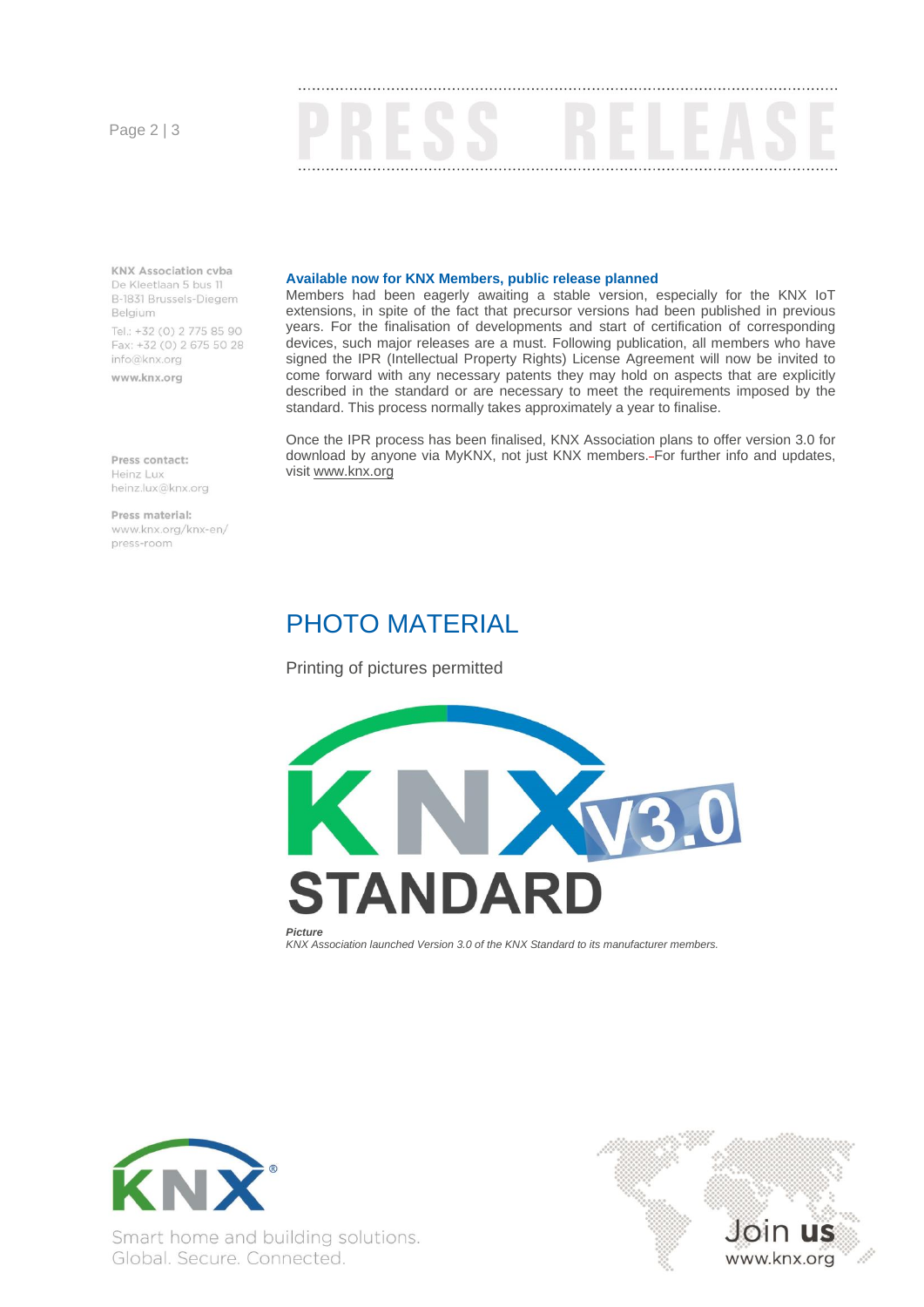Page 2 | 3



**KNX Association cyba** De Kleetlaan 5 bus 11 B-1831 Brussels-Diegem Belgium Tel.: +32 (0) 2 775 85 90

Fax: +32 (0) 2 675 50 28 info@knx.org

www.knx.org

Pross contact:

**Available now for KNX Members, public release planned**

Members had been eagerly awaiting a stable version, especially for the KNX IoT extensions, in spite of the fact that precursor versions had been published in previous years. For the finalisation of developments and start of certification of corresponding devices, such major releases are a must. Following publication, all members who have signed the IPR (Intellectual Property Rights) License Agreement will now be invited to come forward with any necessary patents they may hold on aspects that are explicitly described in the standard or are necessary to meet the requirements imposed by the standard. This process normally takes approximately a year to finalise.

Once the IPR process has been finalised, KNX Association plans to offer version 3.0 for download by anyone via MyKNX, not just KNX members. For further info and updates, visit [www.knx.org](http://www.knx.org/)

## PHOTO MATERIAL

Printing of pictures permitted





www.knx.org

Heinz Lux heinz.lux@knx.org

Press material: www.knx.org/knx-en/ press-room